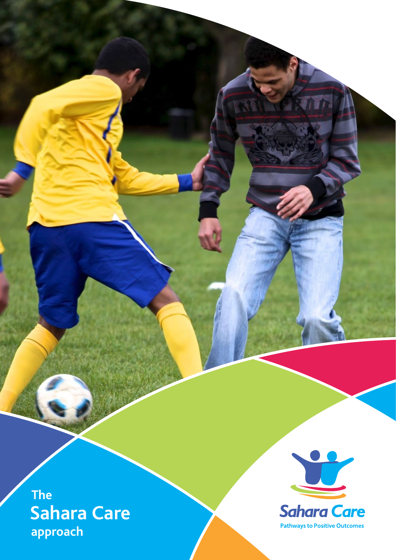**The Sahara Care approach**